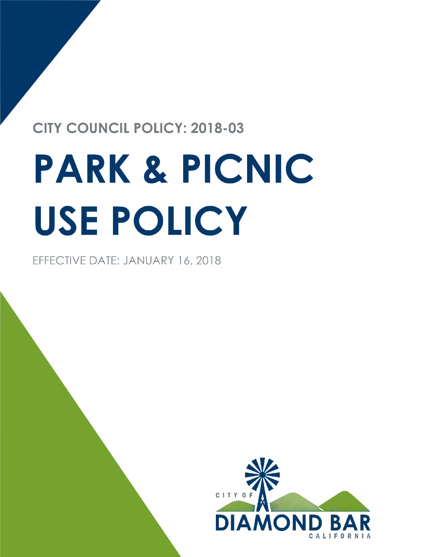## **CITY COUNCIL POLICY: 2018-03**

# PARK & PICNIC USE POLICY

EFFECTIVE DATE: JANUARY 16, 2018

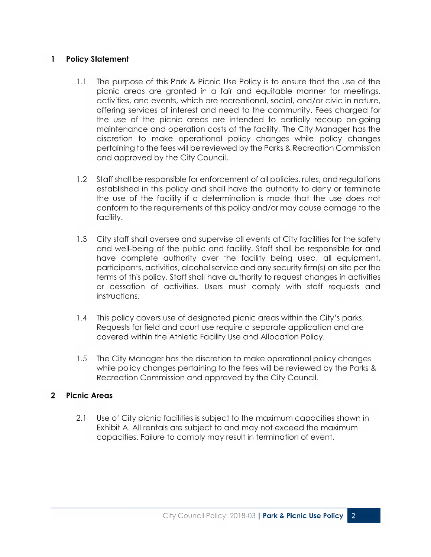#### 1 Policy Statement

- 1.1 The purpose of this Park & Picnic Use Policy is to ensure that the use of the picnic areas are granted in a fair and equitable manner for meetings, activities, and events, which are recreational, social, and/or civic in nature, offering services of interest and need to the community. Fees charged for the use of the picnic areas are intended to partially recoup on-going maintenance and operation costs of the facility. The City Manager has the discretion to make operational policy changes while policy changes pertaining to the fees will be reviewed by the Parks & Recreation Commission and approved by the City Council.
- 1.2 Staff shall be responsible for enforcement of all policies, rules, and regulations established in this policy and shall have the authority to deny or terminate the use of the facility if a determination is made that the use does not conform to the requirements of this policy and/or may cause damage to the facility.
- 1.3 City staff shall oversee and supervise all events at City facilities for the safety and well-being of the public and facility. Staff shall be responsible for and have complete authority over the facility being used, all equipment, participants, activities, alcohol service and any security firm(s) on site per the terms of this policy. Staff shall have authority to request changes in activities or cessation of activities. Users must comply with staff requests and instructions.
- 1.4 This policy covers use of designated picnic areas within the City's parks. Requests for field and court use require a separate application and are covered within the Athletic Facility Use and Allocation Policy.
- 1.5 The City Manager has the discretion to make operational policy changes while policy changes pertaining to the fees will be reviewed by the Parks & Recreation Commission and approved by the City Council.

#### 2 Picnic Areas

2.1 Use of City picnic facilities is subject to the maximum capacities shown in Exhibit A. All rentals are subject to and may not exceed the maximum capacities. Failure to comply may result in termination of event.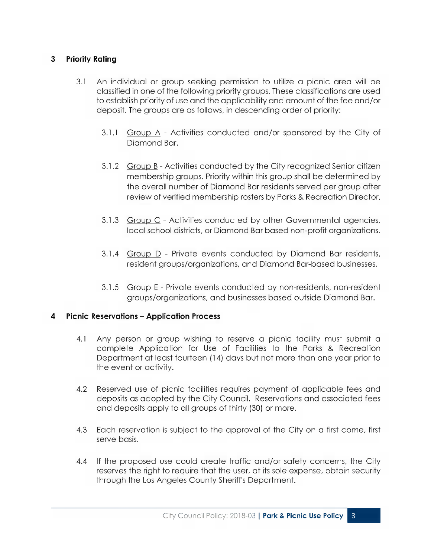#### 3 Priority Rating

- 3.1 An individual or group seeking permission to utilize a picnic area will be classified in one of the following priority groups. These classifications are used to establish priority of use and the applicability and amount of the fee and/ or deposit. The groups are as follows, in descending order of priority:
	- 3.1.1 Group A Activities conducted and/or sponsored by the City of Diamond Bar.
	- 3.1.2 Group B Activities conducted by the City recognized Senior citizen membership groups. Priority within this group shall be determined by the overall number of Diamond Bar residents served per group after review of verified membership rosters by Parks & Recreation Director.
	- 3.1.3 Group C Activities conducted by other Governmental agencies, local school districts, or Diamond Bar based non-profit organizations.
	- 3.1.4 Group D Private events conducted by Diamond Bar residents, resident groups/organizations, and Diamond Bar-based businesses.
	- 3.1.5 Group E Private events conducted by non-residents, non-resident groups/organizations, and businesses based outside Diamond Bar.

#### 4 Picnic Reservations – Application Process

- 4.1 Any person or group wishing to reserve a picnic facility must submit a complete Application for Use of Facilities to the Parks & Recreation Department at least fourteen ( 14) days but not more than one year prior to the event or activity.
- 4.2 Reserved use of picnic facilities requires payment of applicable fees and deposits as adopted by the City Council. Reservations and associated fees and deposits apply to all groups of thirty (30) or more.
- 4.3 Each reservation is subject to the approval of the City on a first come, first serve basis.
- 4.4 If the proposed use could create traffic and/or safety concerns, the City reserves the right to require that the user, at its sole expense, obtain security through the Los Angeles County Sheriff's Department.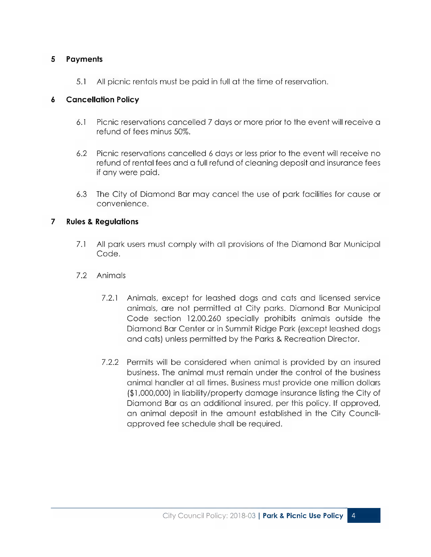#### 5 Payments

5.1 All picnic rentals must be paid in full at the time of reservation.

#### 6 Cancellation Policy

- 6.1 Picnic reservations cancelled 7 days or more prior to the event will receive a refund of fees minus 50%.
- 6.2 Picnic reservations cancelled 6 days or less prior to the event will receive no refund of rental fees and a full refund of cleaning deposit and insurance fees if any were paid.
- 6.3 The City of Diamond Bar may cancel the use of park facilities for cause or convenience.

#### 7 Rules & Regulations

- 7.1 All park users must comply with all provisions of the Diamond Bar Municipal Code.
- 7.2 Animals
	- 7.2.1 Animals, except for leashed dogs and cats and licensed service animals, are not permitted at City parks. Diamond Bar Municipal Code section 12.00.260 specially prohibits animals outside the Diamond Bar Center or in Summit Ridge Park (except leashed dogs and cats) unless permitted by the Parks & Recreation Director.
	- 7.2.2 Permits will be considered when animal is provided by an insured business. The animal must remain under the control of the business animal handler at all times. Business must provide one million dollars 1,000,000) in liability/property damage insurance listing the City of Diamond Bar as an additional insured, per this policy. If approved, an animal deposit in the amount established in the City Councilapproved fee schedule shall be required.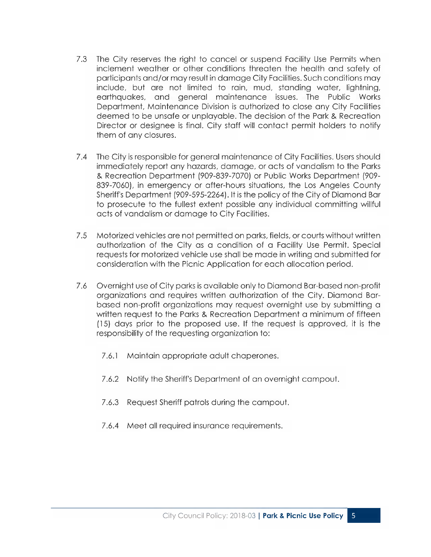- 7.3 The City reserves the right to cancel or suspend Facility Use Permits when inclement weather or other conditions threaten the health and safety of participants and/or may result in damage City Facilities. Such conditions may include, but are not limited to rain, mud, standing water, lightning, earthquakes, and general maintenance issues. The Public Works Department, Maintenance Division is authorized to close any City Facilities deemed to be unsafe or unplayable. The decision of the Park & Recreation Director or designee is final. City staff will contact permit holders to notify them of any closures.
- 7.4 The City is responsible for general maintenance of City Facilities. Users should immediately report any hazards, damage, or acts of vandalism to the Parks Recreation Department (909-839-7070) or Public Works Department (909- 839-7060), in emergency or after-hours situations, the Los Angeles County Sheriff's Department (909-595-2264). It is the policy of the City of Diamond Bar to prosecute to the fullest extent possible any individual committing willful acts of vandalism or damage to City Facilities.
- 7.5 Motorized vehicles are not permitted on parks, fields, or courts without written authorization of the City as a condition of a Facility Use Permit. Special requests for motorized vehicle use shall be made in writing and submitted for consideration with the Picnic Application for each allocation period.
- 7.6 Overnight use of City parks is available only to Diamond Bar-based non-profit organizations and requires written authorization of the City. Diamond Barbased non-profit organizations may request overnight use by submitting a written request to the Parks & Recreation Department a minimum of fifteen 15) days prior to the proposed use. If the request is approved, it is the responsibility of the requesting organization to:
	- 7.6.1 Maintain appropriate adult chaperones.
	- 7.6.2 Notify the Sheriff's Department of an overnight campout.
	- 7.6.3 Request Sheriff patrols during the campout.
	- 7.6.4 Meet all required insurance requirements.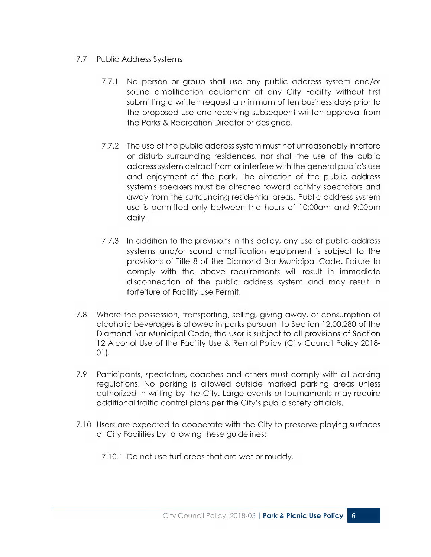#### 7.7 Public Address Systems

- 7.7.1 No person or group shall use any public address system and/or sound amplification equipment at any City Facility without first submitting a written request a minimum of ten business days prior to the proposed use and receiving subsequent written approval from the Parks & Recreation Director or designee.
- 7.7.2 The use of the public address system must not unreasonably interfere or disturb surrounding residences, nor shall the use of the public address system detract from or interfere with the general public's use and enjoyment of the park. The direction of the public address system's speakers must be directed toward activity spectators and away from the surrounding residential areas. Public address system use is permitted only between the hours of 10:00am and 9:00pm daily.
- 7.7.3 In addition to the provisions in this policy, any use of public address systems and/or sound amplification equipment is subject to the provisions of Title 8 of the Diamond Bar Municipal Code. Failure to comply with the above requirements will result in immediate disconnection of the public address system and may result in forfeiture of Facility Use Permit.
- 7.8 Where the possession, transporting, selling, giving away, or consumption of alcoholic beverages is allowed in parks pursuant to Section 12.00.280 of the Diamond Bar Municipal Code, the user is subject to all provisions of Section 12 Alcohol Use of the Facility Use & Rental Policy (City Council Policy 2018-01).
- 7.9 Participants, spectators, coaches and others must comply with all parking regulations. No parking is allowed outside marked parking areas unless authorized in writing by the City. Large events or tournaments may require additional traffic control plans per the City's public safety officials.
- 7.10 Users are expected to cooperate with the City to preserve playing surfaces at City Facilities by following these guidelines:
	- 7.10.1 Do not use turf areas that are wet or muddy.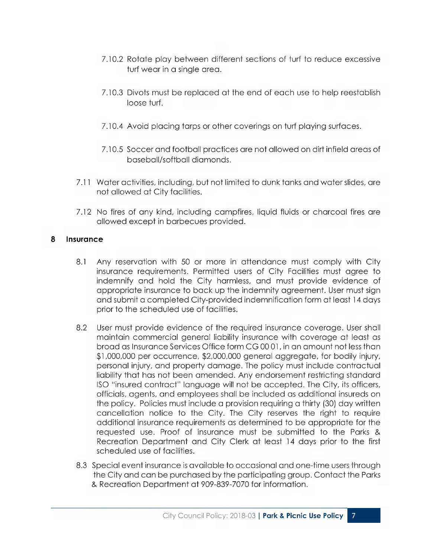- 7.10.2 Rotate play between different sections of turf to reduce excessive turf wear in a single area.
- 7.10.3 Divots must be replaced at the end of each use to help reestablish loose turf.
- 7.10.4 Avoid placing tarps or other coverings on turf playing surfaces.
- 7.10.5 Soccer and football practices are not allowed on dirt infield areas of baseball/softball diamonds.
- 7.11 Water activities, including, but not limited to dunk tanks and water slides, are not allowed at City facilities.
- 7.12 No fires of any kind, including campfires, liquid fluids or charcoal fires are allowed except in barbecues provided.

#### 8 Insurance

- 8.1 Any reservation with 50 or more in attendance must comply with City insurance requirements. Permitted users of City Facilities must agree to indemnify and hold the City harmless, and must provide evidence of appropriate insurance to back up the indemnity agreement. User must sign and submit a completed City-provided indemnification form at least 14 days prior to the scheduled use of facilities.
- 8.2 User must provide evidence of the required insurance coverage. User shall maintain commercial general liability insurance with coverage at least as broad as Insurance Services Office form CG00 01, in an amount not less than \$1,000,000 per occurrence, \$2,000,000 general aggregate, for bodily injury, personal injury, and property damage. The policy must include contractual liability that has not been amended. Any endorsement restricting standard ISO "insured contract" language will not be accepted. The City, its officers, officials, agents, and employees shall be included as additional insureds on the policy. Policies must include a provision requiring a thirty (30) day written cancellation notice to the City. The City reserves the right to require additional insurance requirements as determined to be appropriate for the requested use. Proof of insurance must be submitted to the Parks & Recreation Department and City Clerk at least 14 days prior to the first scheduled use of facilities.
- 8.3 Special event insurance is available to occasional and one-time users through the City and can be purchased by the participating group. Contact the Parks Recreation Department at 909-839-7070 for information.